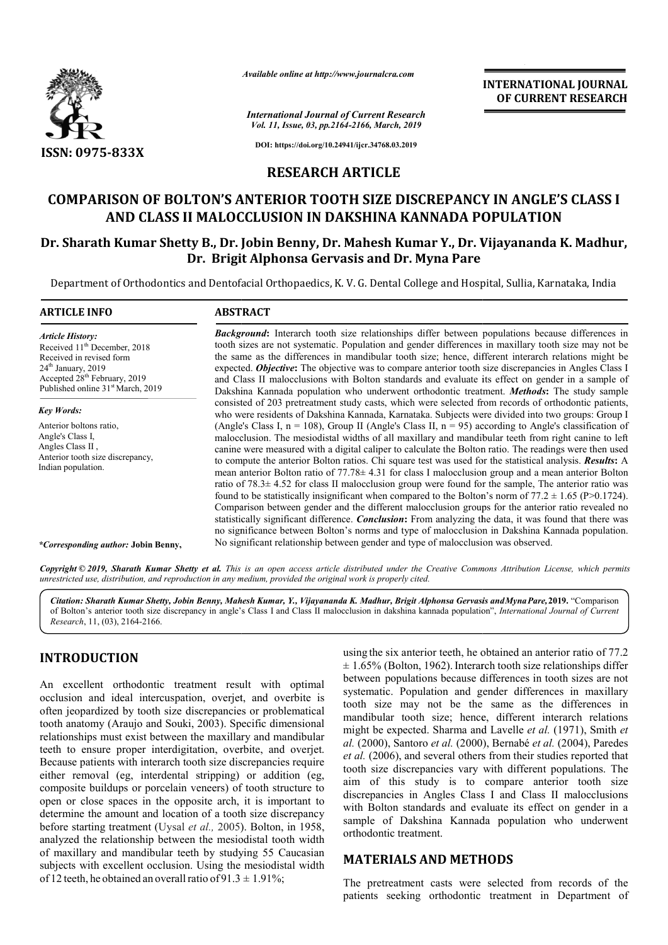

*Available online at http://www.journalcra.com*

*International Journal of Current Research Vol. 11, Issue, 03, pp.2164-2166, March, 2019*

**INTERNATIONAL JOURNAL OF CURRENT RESEARCH**

**DOI: https://doi.org/10.24941/ijcr.34768.03.2019**

# **RESEARCH ARTICLE**

# **COMPARISON OF BOLTON'S ANTERIOR TOOTH SIZE DISCREPANCY IN ANGLE'S CLASS I AND CLASS II MALOCCLUSION IN DAKSHINA KANNADA POPULATION COMPARISON OF BOLTON'S ANTERIOR TOOTH SIZE DISCREPANCY IN ANGLE'S CLASS I**<br>AND CLASS II MALOCCLUSION IN DAKSHINA KANNADA POPULATION<br>Dr. Sharath Kumar Shetty B., Dr. Jobin Benny, Dr. Mahesh Kumar Y., Dr. Vijayananda K. Mad

# **Dr. Brigit Alphonsa Gervasis and Dr. Myna Pare**

Department of Orthodontics and Dentofacial Orthopaedics, K. V. G. Dental College and Hospital, Sullia, Karnataka, India

| <b>ARTICLE INFO</b>                                                                                                                                                                                                  | <b>ABSTRACT</b>                                                                                                                                                                                                                                                                                                                                                                                                                                                                                                                                                                                                                                                                                                                                                                                                                                                                                                                                                                                                                                                                                              |
|----------------------------------------------------------------------------------------------------------------------------------------------------------------------------------------------------------------------|--------------------------------------------------------------------------------------------------------------------------------------------------------------------------------------------------------------------------------------------------------------------------------------------------------------------------------------------------------------------------------------------------------------------------------------------------------------------------------------------------------------------------------------------------------------------------------------------------------------------------------------------------------------------------------------------------------------------------------------------------------------------------------------------------------------------------------------------------------------------------------------------------------------------------------------------------------------------------------------------------------------------------------------------------------------------------------------------------------------|
| <b>Article History:</b><br>Received 11 <sup>th</sup> December, 2018<br>Received in revised form<br>$24th$ January, 2019<br>Accepted 28 <sup>th</sup> February, 2019<br>Published online 31 <sup>st</sup> March, 2019 | <b>Background:</b> Interarch tooth size relationships differ between populations because differences in<br>tooth sizes are not systematic. Population and gender differences in maxillary tooth size may not be<br>the same as the differences in mandibular tooth size; hence, different interarch relations might be<br>expected. <i>Objective</i> : The objective was to compare anterior tooth size discrepancies in Angles Class I<br>and Class II malocclusions with Bolton standards and evaluate its effect on gender in a sample of<br>Dakshina Kannada population who underwent orthodontic treatment. <b>Methods:</b> The study sample                                                                                                                                                                                                                                                                                                                                                                                                                                                            |
| <b>Key Words:</b>                                                                                                                                                                                                    | consisted of 203 pretreatment study casts, which were selected from records of orthodontic patients,<br>who were residents of Dakshina Kannada, Karnataka. Subjects were divided into two groups: Group I                                                                                                                                                                                                                                                                                                                                                                                                                                                                                                                                                                                                                                                                                                                                                                                                                                                                                                    |
| Anterior boltons ratio,<br>Angle's Class I.<br>Angles Class II,<br>Anterior tooth size discrepancy,<br>Indian population.                                                                                            | (Angle's Class I, $n = 108$ ), Group II (Angle's Class II, $n = 95$ ) according to Angle's classification of<br>malocclusion. The mesiodistal widths of all maxillary and mandibular teeth from right canine to left<br>canine were measured with a digital caliper to calculate the Bolton ratio. The readings were then used<br>to compute the anterior Bolton ratios. Chi square test was used for the statistical analysis. Results: A<br>mean anterior Bolton ratio of $77.78 \pm 4.31$ for class I malocclusion group and a mean anterior Bolton<br>ratio of $78.3 \pm 4.52$ for class II malocclusion group were found for the sample, The anterior ratio was<br>found to be statistically insignificant when compared to the Bolton's norm of $77.2 \pm 1.65$ (P>0.1724).<br>Comparison between gender and the different malocclusion groups for the anterior ratio revealed no<br>statistically significant difference. <i>Conclusion</i> : From analyzing the data, it was found that there was<br>no significance between Bolton's norms and type of malocclusion in Dakshina Kannada population. |
| *Corresponding author: Jobin Benny,                                                                                                                                                                                  | No significant relationship between gender and type of malocclusion was observed.                                                                                                                                                                                                                                                                                                                                                                                                                                                                                                                                                                                                                                                                                                                                                                                                                                                                                                                                                                                                                            |

Copyright © 2019, Sharath Kumar Shetty et al. This is an open access article distributed under the Creative Commons Attribution License, which permits *unrestricted use, distribution, and reproduction in any medium, provided the original work is properly cited.*

Citation: Sharath Kumar Shetty, Jobin Benny, Mahesh Kumar, Y., Vijayananda K. Madhur, Brigit Alphonsa Gervasis andMynaPare, 2019. "Comparison of Bolton's anterior tooth size discrepancy in angle's Class I and Class II malocclusion in dakshina kannada population", *International Journal of Current Research*, 11, (03), 2164-2166.

# **INTRODUCTION**

An excellent orthodontic treatment result with optimal occlusion and ideal intercuspation, overjet, and overbite is often jeopardized by tooth size discrepancies or problematical tooth anatomy (Araujo and Souki, 2003). Specific dimensional relationships must exist between the maxillary and mandibular teeth to ensure proper interdigitation, overbite, and overjet. Because patients with interarch tooth size discrepancies require either removal (eg, interdental stripping) or addition (eg, composite buildups or porcelain veneers) of tooth structure to open or close spaces in the opposite arch, it is important to determine the amount and location of a tooth size discrepancy composite buildups or porcelain veneers) of tooth structure to open or close spaces in the opposite arch, it is important to determine the amount and location of a tooth size discrepancy before starting treatment (Uysal *e* analyzed the relationship between the mesiodistal tooth width of maxillary and mandibular teeth by studying 55 Caucasian subjects with excellent occlusion. Using the mesiodistal width of 12 teeth, he obtained an overall ratio of  $91.3 \pm 1.91\%$ ;

using the six anterior teeth, he obtained an anterior ratio of 77.2  $\pm$  1.65% (Bolton, 1962). Interarch tooth size relationships differ between populations because differences in tooth sizes are not systematic. Population and gender differences in maxillary tooth size may not be the same as the differences in mandibular tooth size; hence, different interarch relations might be expected. Sharma and Lavelle et al. (1971), Smith et *al.* (2000), Santoro *et al.* (2000) (2000), Bernabé *et al.* (2004), Paredes *et al.* (2006), and several others from their studies reported that *et al.* (2006), and several others from their studies reported that tooth size discrepancies vary with different populations. The aim of this study is to compare anterior tooth size aim of this study is to compare anterior tooth size discrepancies in Angles Class I and Class II malocclusions with Bolton standards and evaluate its effect on gender in a with Bolton standards and evaluate its effect on gender in a sample of Dakshina Kannada population who underwent orthodontic treatment. the same as the differences in nce, different interarch relations and Lavelle *et al.* (1971), Smith *et* 

### **MATERIALS AND METHODS METHODS**

The pretreatment casts were selected from records of the The pretreatment casts were selected from records of the patients seeking orthodontic treatment in Department of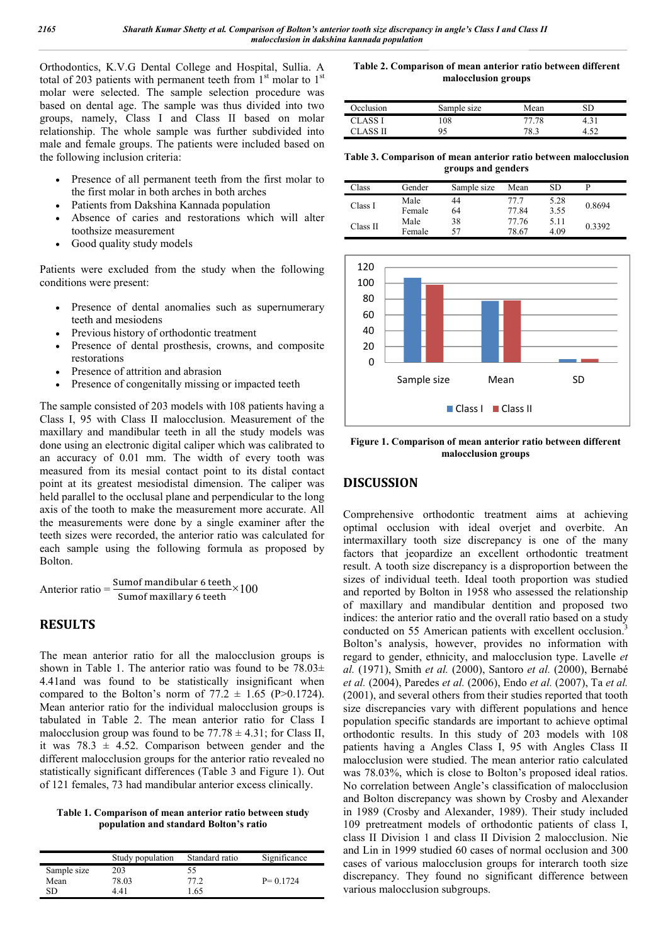Orthodontics, K.V.G Dental College and Hospital, Sullia. A total of 203 patients with permanent teeth from  $1<sup>st</sup>$  molar to  $1<sup>st</sup>$ molar were selected. The sample selection procedure was based on dental age. The sample was thus divided into two groups, namely, Class I and Class II based on molar relationship. The whole sample was further subdivided into male and female groups. The patients were included based on the following inclusion criteria:

- Presence of all permanent teeth from the first molar to the first molar in both arches in both arches
- Patients from Dakshina Kannada population
- Absence of caries and restorations which will alter toothsize measurement
- Good quality study models

Patients were excluded from the study when the following conditions were present:

- Presence of dental anomalies such as supernumerary teeth and mesiodens
- Previous history of orthodontic treatment
- Presence of dental prosthesis, crowns, and composite restorations
- Presence of attrition and abrasion
- Presence of congenitally missing or impacted teeth

The sample consisted of 203 models with 108 patients having a Class I, 95 with Class II malocclusion. Measurement of the maxillary and mandibular teeth in all the study models was done using an electronic digital caliper which was calibrated to an accuracy of 0.01 mm. The width of every tooth was measured from its mesial contact point to its distal contact point at its greatest mesiodistal dimension. The caliper was held parallel to the occlusal plane and perpendicular to the long axis of the tooth to make the measurement more accurate. All the measurements were done by a single examiner after the teeth sizes were recorded, the anterior ratio was calculated for each sample using the following formula as proposed by Bolton.

$$
Anterior ratio = \frac{Sum of mandibular 6 teeth}{Sum of maxillary 6 teeth} \times 100
$$

# **RESULTS**

The mean anterior ratio for all the malocclusion groups is shown in Table 1. The anterior ratio was found to be  $78.03\pm$ 4.41and was found to be statistically insignificant when compared to the Bolton's norm of  $77.2 \pm 1.65$  (P>0.1724). Mean anterior ratio for the individual malocclusion groups is tabulated in Table 2. The mean anterior ratio for Class I malocclusion group was found to be  $77.78 \pm 4.31$ ; for Class II, it was  $78.3 \pm 4.52$ . Comparison between gender and the different malocclusion groups for the anterior ratio revealed no statistically significant differences (Table 3 and Figure 1). Out of 121 females, 73 had mandibular anterior excess clinically.

#### **Table 1. Comparison of mean anterior ratio between study population and standard Bolton's ratio**

|             | Study population | Standard ratio | Significance |
|-------------|------------------|----------------|--------------|
| Sample size | 203              | 55             |              |
| Mean        | 78.03            | 77.2           | $P = 0.1724$ |
| SD          | 441              | .65            |              |

**Table 2. Comparison of mean anterior ratio between different malocclusion groups**

| Occlusion | Sample size | Mean  | SГ   |
|-----------|-------------|-------|------|
| CLASS I   | 108         | 77.78 | 4.31 |
| TI 22A T  | 95          | 78.3  |      |

**Table 3. Comparison of mean anterior ratio between malocclusion groups and genders**

| Class    | Gender         | Sample size | Mean           | SD           |        |
|----------|----------------|-------------|----------------|--------------|--------|
| Class I  | Male<br>Female | 44<br>64    | 77 7<br>77.84  | 5.28<br>3.55 | 0.8694 |
| Class II | Male<br>Female | 38<br>57    | 77.76<br>78.67 | 5.11<br>4.09 | 0.3392 |



**Figure 1. Comparison of mean anterior ratio between different malocclusion groups**

## **DISCUSSION**

Comprehensive orthodontic treatment aims at achieving optimal occlusion with ideal overjet and overbite. An intermaxillary tooth size discrepancy is one of the many factors that jeopardize an excellent orthodontic treatment result. A tooth size discrepancy is a disproportion between the sizes of individual teeth. Ideal tooth proportion was studied and reported by Bolton in 1958 who assessed the relationship of maxillary and mandibular dentition and proposed two indices: the anterior ratio and the overall ratio based on a study conducted on 55 American patients with excellent occlusion.<sup>3</sup> Bolton's analysis, however, provides no information with regard to gender, ethnicity, and malocclusion type. Lavelle *et al.* (1971), Smith *et al.* (2000), Santoro *et al.* (2000), Bernabé *et al.* (2004), Paredes *et al.* (2006), Endo *et al.* (2007), Ta *et al.* (2001), and several others from their studies reported that tooth size discrepancies vary with different populations and hence population specific standards are important to achieve optimal orthodontic results. In this study of 203 models with 108 patients having a Angles Class I, 95 with Angles Class II malocclusion were studied. The mean anterior ratio calculated was 78.03%, which is close to Bolton's proposed ideal ratios. No correlation between Angle's classification of malocclusion and Bolton discrepancy was shown by Crosby and Alexander in 1989 (Crosby and Alexander, 1989). Their study included 109 pretreatment models of orthodontic patients of class I, class II Division 1 and class II Division 2 malocclusion. Nie and Lin in 1999 studied 60 cases of normal occlusion and 300 cases of various malocclusion groups for interarch tooth size discrepancy. They found no significant difference between various malocclusion subgroups.